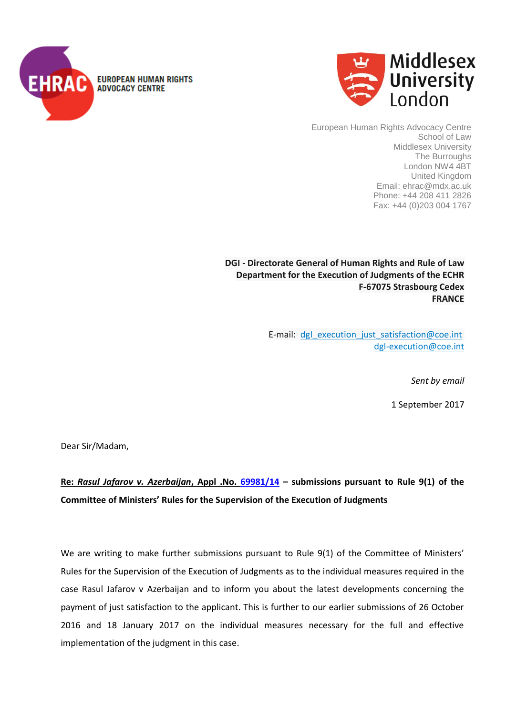



European Human Rights Advocacy Centre School of Law Middlesex University The Burroughs London NW4 4BT United Kingdom Email: ehrac@mdx.ac.uk Phone: +44 208 411 2826 Fax: +44 (0)203 004 1767

**DGI - Directorate General of Human Rights and Rule of Law Department for the Execution of Judgments of the ECHR F-67075 Strasbourg Cedex FRANCE**

> E-mail: dgl execution just satisfaction@coe.int [dgI-execution@coe.int](mailto:DGI-Execution@coe.int)

> > *Sent by email*

1 September 2017

Dear Sir/Madam,

**Re:** *Rasul Jafarov v. Azerbaijan***, Appl .No. [69981/14](http://hudoc.echr.coe.int/eng?i=001-161416) – submissions pursuant to Rule 9(1) of the Committee of Ministers' Rules for the Supervision of the Execution of Judgments**

We are writing to make further submissions pursuant to Rule 9(1) of the Committee of Ministers' Rules for the Supervision of the Execution of Judgments as to the individual measures required in the case Rasul Jafarov v Azerbaijan and to inform you about the latest developments concerning the payment of just satisfaction to the applicant. This is further to our earlier submissions of 26 October 2016 and 18 January 2017 on the individual measures necessary for the full and effective implementation of the judgment in this case.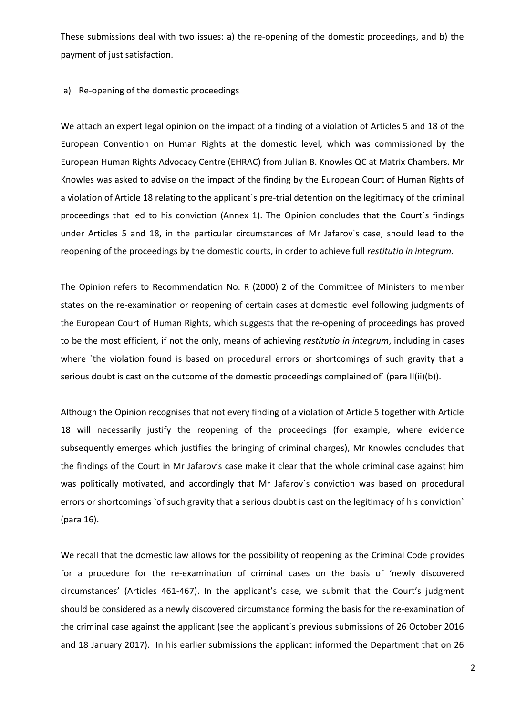These submissions deal with two issues: a) the re-opening of the domestic proceedings, and b) the payment of just satisfaction.

## a) Re-opening of the domestic proceedings

We attach an expert legal opinion on the impact of a finding of a violation of Articles 5 and 18 of the European Convention on Human Rights at the domestic level, which was commissioned by the European Human Rights Advocacy Centre (EHRAC) from Julian B. Knowles QC at Matrix Chambers. Mr Knowles was asked to advise on the impact of the finding by the European Court of Human Rights of a violation of Article 18 relating to the applicant`s pre-trial detention on the legitimacy of the criminal proceedings that led to his conviction (Annex 1). The Opinion concludes that the Court`s findings under Articles 5 and 18, in the particular circumstances of Mr Jafarov`s case, should lead to the reopening of the proceedings by the domestic courts, in order to achieve full *restitutio in integrum*.

The Opinion refers to Recommendation No. R (2000) 2 of the Committee of Ministers to member states on the re-examination or reopening of certain cases at domestic level following judgments of the European Court of Human Rights, which suggests that the re-opening of proceedings has proved to be the most efficient, if not the only, means of achieving *restitutio in integrum*, including in cases where 'the violation found is based on procedural errors or shortcomings of such gravity that a serious doubt is cast on the outcome of the domestic proceedings complained of (para II(ii)(b)).

Although the Opinion recognises that not every finding of a violation of Article 5 together with Article 18 will necessarily justify the reopening of the proceedings (for example, where evidence subsequently emerges which justifies the bringing of criminal charges), Mr Knowles concludes that the findings of the Court in Mr Jafarov's case make it clear that the whole criminal case against him was politically motivated, and accordingly that Mr Jafarov`s conviction was based on procedural errors or shortcomings `of such gravity that a serious doubt is cast on the legitimacy of his conviction` (para 16).

We recall that the domestic law allows for the possibility of reopening as the Criminal Code provides for a procedure for the re-examination of criminal cases on the basis of 'newly discovered circumstances' (Articles 461-467). In the applicant's case, we submit that the Court's judgment should be considered as a newly discovered circumstance forming the basis for the re-examination of the criminal case against the applicant (see the applicant`s previous submissions of 26 October 2016 and 18 January 2017). In his earlier submissions the applicant informed the Department that on 26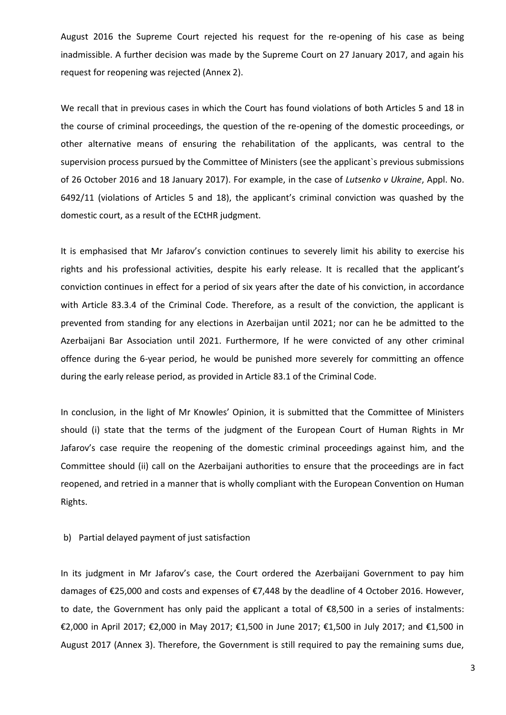August 2016 the Supreme Court rejected his request for the re-opening of his case as being inadmissible. A further decision was made by the Supreme Court on 27 January 2017, and again his request for reopening was rejected (Annex 2).

We recall that in previous cases in which the Court has found violations of both Articles 5 and 18 in the course of criminal proceedings, the question of the re-opening of the domestic proceedings, or other alternative means of ensuring the rehabilitation of the applicants, was central to the supervision process pursued by the Committee of Ministers (see the applicant's previous submissions of 26 October 2016 and 18 January 2017). For example, in the case of *Lutsenko v Ukraine*, Appl. No. 6492/11 (violations of Articles 5 and 18), the applicant's criminal conviction was quashed by the domestic court, as a result of the ECtHR judgment.

It is emphasised that Mr Jafarov's conviction continues to severely limit his ability to exercise his rights and his professional activities, despite his early release. It is recalled that the applicant's conviction continues in effect for a period of six years after the date of his conviction, in accordance with Article 83.3.4 of the Criminal Code. Therefore, as a result of the conviction, the applicant is prevented from standing for any elections in Azerbaijan until 2021; nor can he be admitted to the Azerbaijani Bar Association until 2021. Furthermore, If he were convicted of any other criminal offence during the 6-year period, he would be punished more severely for committing an offence during the early release period, as provided in Article 83.1 of the Criminal Code.

In conclusion, in the light of Mr Knowles' Opinion, it is submitted that the Committee of Ministers should (i) state that the terms of the judgment of the European Court of Human Rights in Mr Jafarov's case require the reopening of the domestic criminal proceedings against him, and the Committee should (ii) call on the Azerbaijani authorities to ensure that the proceedings are in fact reopened, and retried in a manner that is wholly compliant with the European Convention on Human Rights.

## b) Partial delayed payment of just satisfaction

In its judgment in Mr Jafarov's case, the Court ordered the Azerbaijani Government to pay him damages of €25,000 and costs and expenses of €7,448 by the deadline of 4 October 2016. However, to date, the Government has only paid the applicant a total of €8,500 in a series of instalments: €2,000 in April 2017; €2,000 in May 2017; €1,500 in June 2017; €1,500 in July 2017; and €1,500 in August 2017 (Annex 3). Therefore, the Government is still required to pay the remaining sums due,